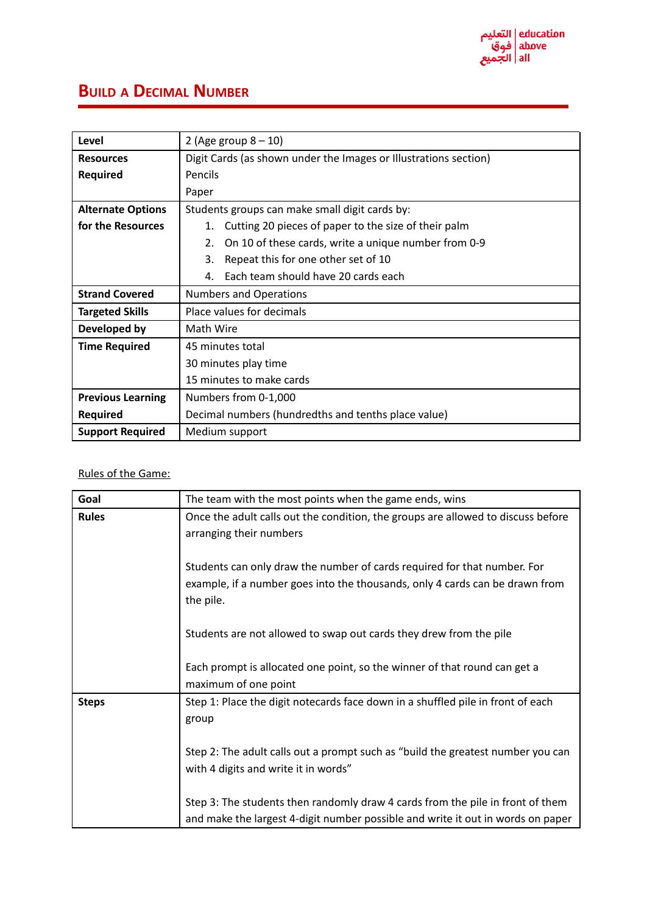

## **BUILD A DECIMAL NUMBER**

| Level                    | 2 (Age group $8 - 10$ )                                          |  |  |  |  |
|--------------------------|------------------------------------------------------------------|--|--|--|--|
| <b>Resources</b>         | Digit Cards (as shown under the Images or Illustrations section) |  |  |  |  |
| <b>Required</b>          | Pencils                                                          |  |  |  |  |
|                          | Paper                                                            |  |  |  |  |
| <b>Alternate Options</b> | Students groups can make small digit cards by:                   |  |  |  |  |
| for the Resources        | Cutting 20 pieces of paper to the size of their palm<br>1.       |  |  |  |  |
|                          | On 10 of these cards, write a unique number from 0-9<br>2.       |  |  |  |  |
|                          | Repeat this for one other set of 10<br>3.                        |  |  |  |  |
|                          | Each team should have 20 cards each<br>4.                        |  |  |  |  |
| <b>Strand Covered</b>    | <b>Numbers and Operations</b>                                    |  |  |  |  |
| <b>Targeted Skills</b>   | Place values for decimals                                        |  |  |  |  |
| Developed by             | Math Wire                                                        |  |  |  |  |
| <b>Time Required</b>     | 45 minutes total                                                 |  |  |  |  |
|                          | 30 minutes play time                                             |  |  |  |  |
|                          | 15 minutes to make cards                                         |  |  |  |  |
| <b>Previous Learning</b> | Numbers from 0-1,000                                             |  |  |  |  |
| <b>Required</b>          | Decimal numbers (hundredths and tenths place value)              |  |  |  |  |
| <b>Support Required</b>  | Medium support                                                   |  |  |  |  |

## Rules of the Game:

| Goal         | The team with the most points when the game ends, wins                                                                                                                |  |  |  |  |  |
|--------------|-----------------------------------------------------------------------------------------------------------------------------------------------------------------------|--|--|--|--|--|
| <b>Rules</b> | Once the adult calls out the condition, the groups are allowed to discuss before<br>arranging their numbers                                                           |  |  |  |  |  |
|              | Students can only draw the number of cards required for that number. For<br>example, if a number goes into the thousands, only 4 cards can be drawn from<br>the pile. |  |  |  |  |  |
|              | Students are not allowed to swap out cards they drew from the pile                                                                                                    |  |  |  |  |  |
|              | Each prompt is allocated one point, so the winner of that round can get a<br>maximum of one point                                                                     |  |  |  |  |  |
| <b>Steps</b> | Step 1: Place the digit notecards face down in a shuffled pile in front of each<br>group                                                                              |  |  |  |  |  |
|              | Step 2: The adult calls out a prompt such as "build the greatest number you can<br>with 4 digits and write it in words"                                               |  |  |  |  |  |
|              | Step 3: The students then randomly draw 4 cards from the pile in front of them<br>and make the largest 4-digit number possible and write it out in words on paper     |  |  |  |  |  |